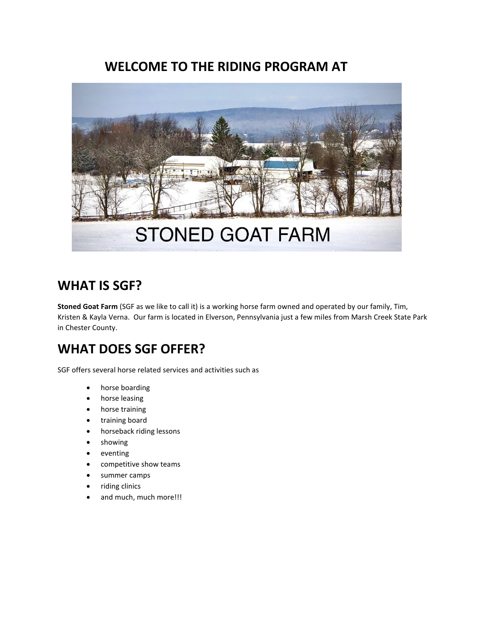# **WELCOME TO THE RIDING PROGRAM AT**



# **WHAT IS SGF?**

**Stoned Goat Farm** (SGF as we like to call it) is a working horse farm owned and operated by our family, Tim, Kristen & Kayla Verna. Our farm is located in Elverson, Pennsylvania just a few miles from Marsh Creek State Park in Chester County.

# **WHAT DOES SGF OFFER?**

SGF offers several horse related services and activities such as

- horse boarding
- horse leasing
- horse training
- training board
- horseback riding lessons
- showing
- eventing
- competitive show teams
- summer camps
- riding clinics
- and much, much more!!!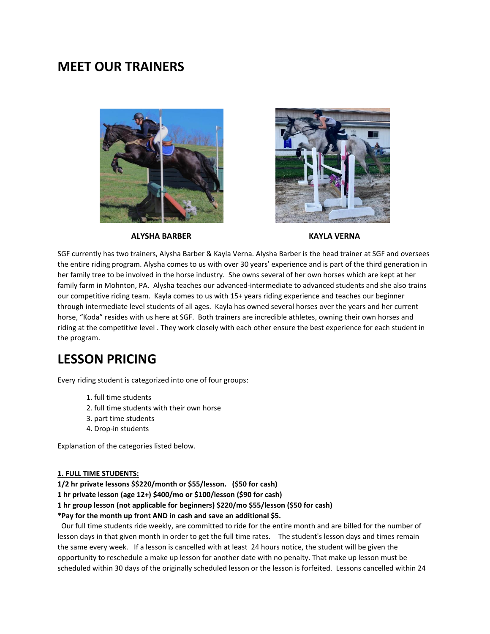# **MEET OUR TRAINERS**





#### **ALYSHA BARBER KAYLA VERNA**

SGF currently has two trainers, Alysha Barber & Kayla Verna. Alysha Barber is the head trainer at SGF and oversees the entire riding program. Alysha comes to us with over 30 years' experience and is part of the third generation in her family tree to be involved in the horse industry. She owns several of her own horses which are kept at her family farm in Mohnton, PA. Alysha teaches our advanced-intermediate to advanced students and she also trains our competitive riding team. Kayla comes to us with 15+ years riding experience and teaches our beginner through intermediate level students of all ages. Kayla has owned several horses over the years and her current horse, "Koda" resides with us here at SGF. Both trainers are incredible athletes, owning their own horses and riding at the competitive level . They work closely with each other ensure the best experience for each student in the program.

# **LESSON PRICING**

Every riding student is categorized into one of four groups:

- 1. full time students
- 2. full time students with their own horse
- 3. part time students
- 4. Drop-in students

Explanation of the categories listed below.

#### **1. FULL TIME STUDENTS:**

**1/2 hr private lessons \$\$220/month or \$55/lesson. (\$50 for cash)**

**1 hr private lesson (age 12+) \$400/mo or \$100/lesson (\$90 for cash)**

**1 hr group lesson (not applicable for beginners) \$220/mo \$55/lesson (\$50 for cash)**

**\*Pay for the month up front AND in cash and save an additional \$5.**

 Our full time students ride weekly, are committed to ride for the entire month and are billed for the number of lesson days in that given month in order to get the full time rates. The student's lesson days and times remain the same every week. If a lesson is cancelled with at least 24 hours notice, the student will be given the opportunity to reschedule a make up lesson for another date with no penalty. That make up lesson must be scheduled within 30 days of the originally scheduled lesson or the lesson is forfeited. Lessons cancelled within 24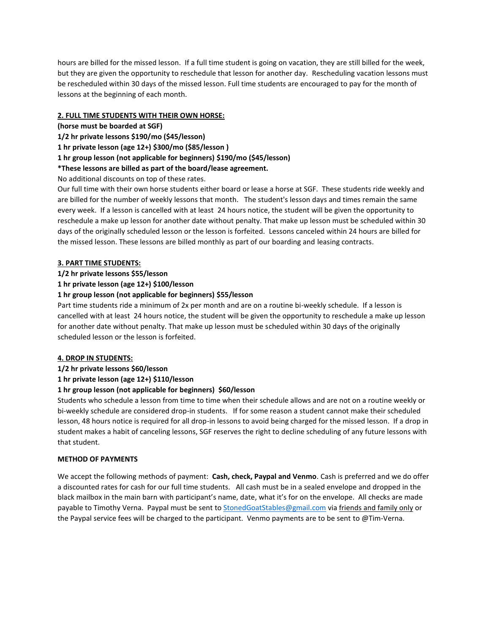hours are billed for the missed lesson. If a full time student is going on vacation, they are still billed for the week, but they are given the opportunity to reschedule that lesson for another day. Rescheduling vacation lessons must be rescheduled within 30 days of the missed lesson. Full time students are encouraged to pay for the month of lessons at the beginning of each month.

# **2. FULL TIME STUDENTS WITH THEIR OWN HORSE:**

**(horse must be boarded at SGF)**

**1/2 hr private lessons \$190/mo (\$45/lesson)**

**1 hr private lesson (age 12+) \$300/mo (\$85/lesson )**

**1 hr group lesson (not applicable for beginners) \$190/mo (\$45/lesson)**

**\*These lessons are billed as part of the board/lease agreement.**

No additional discounts on top of these rates.

Our full time with their own horse students either board or lease a horse at SGF. These students ride weekly and are billed for the number of weekly lessons that month. The student's lesson days and times remain the same every week. If a lesson is cancelled with at least 24 hours notice, the student will be given the opportunity to reschedule a make up lesson for another date without penalty. That make up lesson must be scheduled within 30 days of the originally scheduled lesson or the lesson is forfeited. Lessons canceled within 24 hours are billed for the missed lesson. These lessons are billed monthly as part of our boarding and leasing contracts.

# **3. PART TIME STUDENTS:**

# **1/2 hr private lessons \$55/lesson**

**1 hr private lesson (age 12+) \$100/lesson**

# **1 hr group lesson (not applicable for beginners) \$55/lesson**

Part time students ride a minimum of 2x per month and are on a routine bi-weekly schedule. If a lesson is cancelled with at least 24 hours notice, the student will be given the opportunity to reschedule a make up lesson for another date without penalty. That make up lesson must be scheduled within 30 days of the originally scheduled lesson or the lesson is forfeited.

# **4. DROP IN STUDENTS:**

**1/2 hr private lessons \$60/lesson**

**1 hr private lesson (age 12+) \$110/lesson**

# **1 hr group lesson (not applicable for beginners) \$60/lesson**

Students who schedule a lesson from time to time when their schedule allows and are not on a routine weekly or bi-weekly schedule are considered drop-in students. If for some reason a student cannot make their scheduled lesson, 48 hours notice is required for all drop-in lessons to avoid being charged for the missed lesson. If a drop in student makes a habit of canceling lessons, SGF reserves the right to decline scheduling of any future lessons with that student.

# **METHOD OF PAYMENTS**

We accept the following methods of payment: **Cash, check, Paypal and Venmo**. Cash is preferred and we do offer a discounted rates for cash for our full time students. All cash must be in a sealed envelope and dropped in the black mailbox in the main barn with participant's name, date, what it's for on the envelope. All checks are made payable to Timothy Verna. Paypal must be sent to [StonedGoatStables@gmail.com](mailto:StonedGoatStables@gmail.com) via friends and family only or the Paypal service fees will be charged to the participant. Venmo payments are to be sent to @Tim-Verna.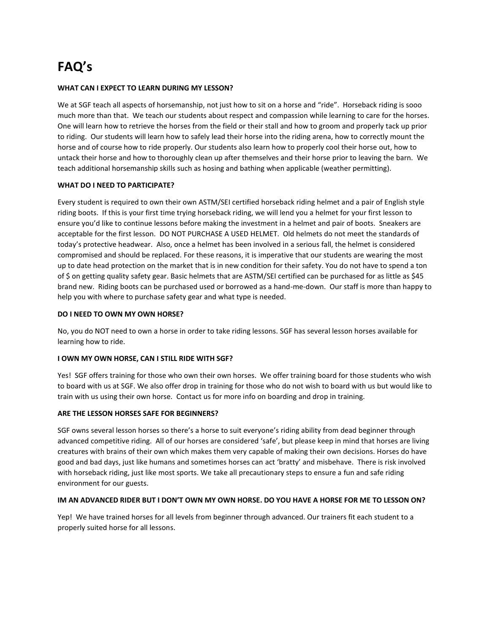# **FAQ's**

# **WHAT CAN I EXPECT TO LEARN DURING MY LESSON?**

We at SGF teach all aspects of horsemanship, not just how to sit on a horse and "ride". Horseback riding is sooo much more than that. We teach our students about respect and compassion while learning to care for the horses. One will learn how to retrieve the horses from the field or their stall and how to groom and properly tack up prior to riding. Our students will learn how to safely lead their horse into the riding arena, how to correctly mount the horse and of course how to ride properly. Our students also learn how to properly cool their horse out, how to untack their horse and how to thoroughly clean up after themselves and their horse prior to leaving the barn. We teach additional horsemanship skills such as hosing and bathing when applicable (weather permitting).

### **WHAT DO I NEED TO PARTICIPATE?**

Every student is required to own their own ASTM/SEI certified horseback riding helmet and a pair of English style riding boots. If this is your first time trying horseback riding, we will lend you a helmet for your first lesson to ensure you'd like to continue lessons before making the investment in a helmet and pair of boots. Sneakers are acceptable for the first lesson. DO NOT PURCHASE A USED HELMET. Old helmets do not meet the standards of today's protective headwear. Also, once a helmet has been involved in a serious fall, the helmet is considered compromised and should be replaced. For these reasons, it is imperative that our students are wearing the most up to date head protection on the market that is in new condition for their safety. You do not have to spend a ton of \$ on getting quality safety gear. Basic helmets that are ASTM/SEI certified can be purchased for as little as \$45 brand new. Riding boots can be purchased used or borrowed as a hand-me-down. Our staff is more than happy to help you with where to purchase safety gear and what type is needed.

### **DO I NEED TO OWN MY OWN HORSE?**

No, you do NOT need to own a horse in order to take riding lessons. SGF has several lesson horses available for learning how to ride.

# **I OWN MY OWN HORSE, CAN I STILL RIDE WITH SGF?**

Yes! SGF offers training for those who own their own horses. We offer training board for those students who wish to board with us at SGF. We also offer drop in training for those who do not wish to board with us but would like to train with us using their own horse. Contact us for more info on boarding and drop in training.

#### **ARE THE LESSON HORSES SAFE FOR BEGINNERS?**

SGF owns several lesson horses so there's a horse to suit everyone's riding ability from dead beginner through advanced competitive riding. All of our horses are considered 'safe', but please keep in mind that horses are living creatures with brains of their own which makes them very capable of making their own decisions. Horses do have good and bad days, just like humans and sometimes horses can act 'bratty' and misbehave. There is risk involved with horseback riding, just like most sports. We take all precautionary steps to ensure a fun and safe riding environment for our guests.

# **IM AN ADVANCED RIDER BUT I DON'T OWN MY OWN HORSE. DO YOU HAVE A HORSE FOR ME TO LESSON ON?**

Yep! We have trained horses for all levels from beginner through advanced. Our trainers fit each student to a properly suited horse for all lessons.